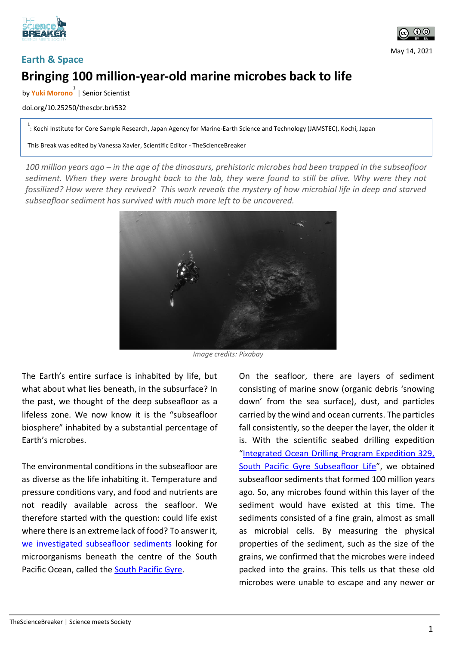



May 14, 2021

## **Earth & Space Bringing 100 million-year-old marine microbes back to life**

by **Yuki Morono 1** | Senior Scientist

doi.org/10.25250/thescbr.brk532

<sup>1</sup> : Kochi Institute for Core Sample Research, Japan Agency for Marine-Earth Science and Technology (JAMSTEC), Kochi, Japan

This Break was edited by Vanessa Xavier, Scientific Editor - TheScienceBreaker

*100 million years ago – in the age of the dinosaurs, prehistoric microbes had been trapped in the subseafloor sediment. When they were brought back to the lab, they were found to still be alive. Why were they not fossilized? How were they revived? This work reveals the mystery of how microbial life in deep and starved subseafloor sediment has survived with much more left to be uncovered.* 



*Image credits: Pixabay*

The Earth's entire surface is inhabited by life, but what about what lies beneath, in the subsurface? In the past, we thought of the deep subseafloor as a lifeless zone. We now know it is the "subseafloor biosphere" inhabited by a substantial percentage of Earth's microbes.

The environmental conditions in the subseafloor are as diverse as the life inhabiting it. Temperature and pressure conditions vary, and food and nutrients are not readily available across the seafloor. We therefore started with the question: could life exist where there is an extreme lack of food? To answer it, [we investigated subseafloor sediments](https://www.youtube.com/watch?v=hjUthnT4SDU) looking for microorganisms beneath the centre of the South Pacific Ocean, called the South [Pacific Gyre.](https://en.wikipedia.org/wiki/South_Pacific_Gyre)

On the seafloor, there are layers of sediment consisting of marine snow (organic debris 'snowing down' from the sea surface), dust, and particles carried by the wind and ocean currents. The particles fall consistently, so the deeper the layer, the older it is. With the scientific seabed drilling expedition "[Integrated Ocean Drilling Program Expedition 329,](https://joidesresolution.org/expedition/329/)  [South Pacific Gyre Subseafloor Life](https://joidesresolution.org/expedition/329/)", we obtained subseafloor sediments that formed 100 million years ago. So, any microbes found within this layer of the sediment would have existed at this time. The sediments consisted of a fine grain, almost as small as microbial cells. By measuring the physical properties of the sediment, such as the size of the grains, we confirmed that the microbes were indeed packed into the grains. This tells us that these old microbes were unable to escape and any newer or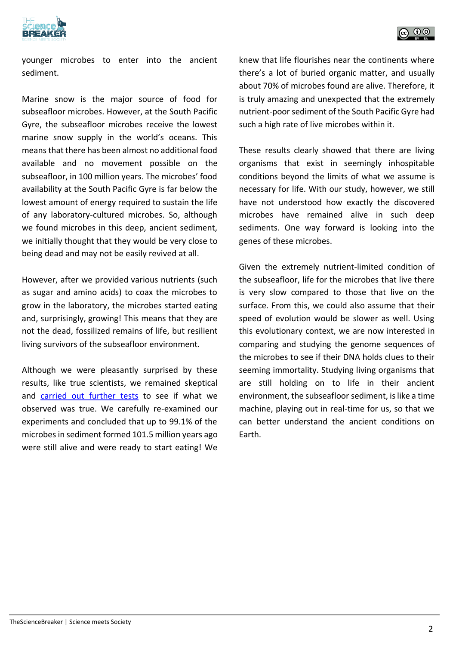



younger microbes to enter into the ancient sediment.

Marine snow is the major source of food for subseafloor microbes. However, at the South Pacific Gyre, the subseafloor microbes receive the lowest marine snow supply in the world's oceans. This means that there has been almost no additional food available and no movement possible on the subseafloor, in 100 million years. The microbes' food availability at the South Pacific Gyre is far below the lowest amount of energy required to sustain the life of any laboratory-cultured microbes. So, although we found microbes in this deep, ancient sediment, we initially thought that they would be very close to being dead and may not be easily revived at all.

However, after we provided various nutrients (such as sugar and amino acids) to coax the microbes to grow in the laboratory, the microbes started eating and, surprisingly, growing! This means that they are not the dead, fossilized remains of life, but resilient living survivors of the subseafloor environment.

Although we were pleasantly surprised by these results, like true scientists, we remained skeptical and [carried out further tests](https://www.youtube.com/watch?v=5JrGPIIB5HA&t=40s) to see if what we observed was true. We carefully re-examined our experiments and concluded that up to 99.1% of the microbes in sediment formed 101.5 million years ago were still alive and were ready to start eating! We

knew that life flourishes near the continents where there's a lot of buried organic matter, and usually about 70% of microbes found are alive. Therefore, it is truly amazing and unexpected that the extremely nutrient-poor sediment of the South Pacific Gyre had such a high rate of live microbes within it.

These results clearly showed that there are living organisms that exist in seemingly inhospitable conditions beyond the limits of what we assume is necessary for life. With our study, however, we still have not understood how exactly the discovered microbes have remained alive in such deep sediments. One way forward is looking into the genes of these microbes.

Given the extremely nutrient-limited condition of the subseafloor, life for the microbes that live there is very slow compared to those that live on the surface. From this, we could also assume that their speed of evolution would be slower as well. Using this evolutionary context, we are now interested in comparing and studying the genome sequences of the microbes to see if their DNA holds clues to their seeming immortality. Studying living organisms that are still holding on to life in their ancient environment, the subseafloor sediment, is like a time machine, playing out in real-time for us, so that we can better understand the ancient conditions on Earth.